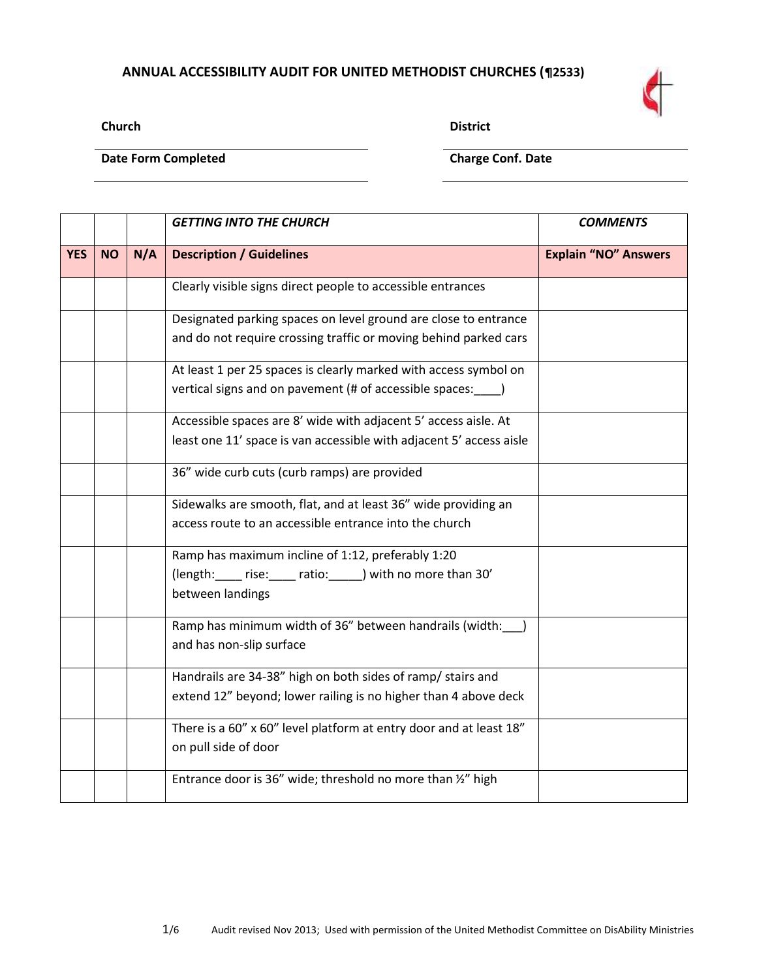## **ANNUAL ACCESSIBILITY AUDIT FOR UNITED METHODIST CHURCHES (¶2533)**



**Church District**

**Date Form Completed Charge Conf. Date** 

|            |           |     | <b>GETTING INTO THE CHURCH</b>                                                                                                         | <b>COMMENTS</b>             |
|------------|-----------|-----|----------------------------------------------------------------------------------------------------------------------------------------|-----------------------------|
| <b>YES</b> | <b>NO</b> | N/A | <b>Description / Guidelines</b>                                                                                                        | <b>Explain "NO" Answers</b> |
|            |           |     | Clearly visible signs direct people to accessible entrances                                                                            |                             |
|            |           |     | Designated parking spaces on level ground are close to entrance<br>and do not require crossing traffic or moving behind parked cars    |                             |
|            |           |     | At least 1 per 25 spaces is clearly marked with access symbol on<br>vertical signs and on pavement (# of accessible spaces: )          |                             |
|            |           |     | Accessible spaces are 8' wide with adjacent 5' access aisle. At<br>least one 11' space is van accessible with adjacent 5' access aisle |                             |
|            |           |     | 36" wide curb cuts (curb ramps) are provided                                                                                           |                             |
|            |           |     | Sidewalks are smooth, flat, and at least 36" wide providing an<br>access route to an accessible entrance into the church               |                             |
|            |           |     | Ramp has maximum incline of 1:12, preferably 1:20<br>(length: rise: ratio: ) with no more than 30'<br>between landings                 |                             |
|            |           |     | Ramp has minimum width of 36" between handrails (width: __)<br>and has non-slip surface                                                |                             |
|            |           |     | Handrails are 34-38" high on both sides of ramp/ stairs and<br>extend 12" beyond; lower railing is no higher than 4 above deck         |                             |
|            |           |     | There is a 60" x 60" level platform at entry door and at least 18"<br>on pull side of door                                             |                             |
|            |           |     | Entrance door is 36" wide; threshold no more than 1/2" high                                                                            |                             |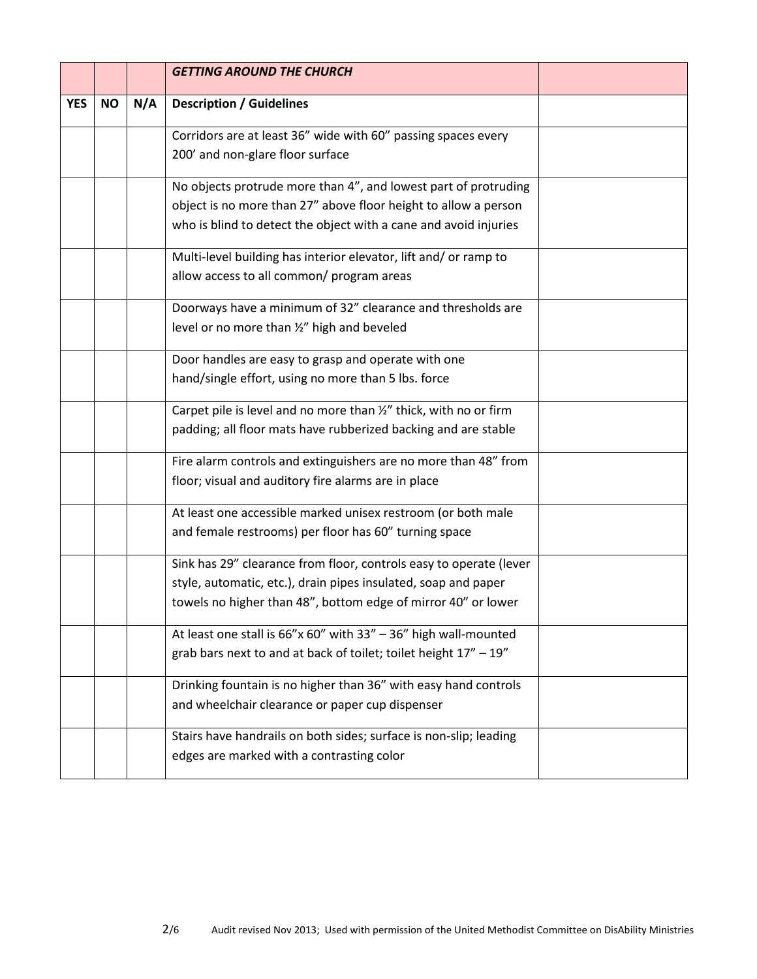|            |           |     | <b>GETTING AROUND THE CHURCH</b>                                                                                                                                                                       |  |
|------------|-----------|-----|--------------------------------------------------------------------------------------------------------------------------------------------------------------------------------------------------------|--|
| <b>YES</b> | <b>NO</b> | N/A | <b>Description / Guidelines</b>                                                                                                                                                                        |  |
|            |           |     | Corridors are at least 36" wide with 60" passing spaces every<br>200' and non-glare floor surface                                                                                                      |  |
|            |           |     | No objects protrude more than 4", and lowest part of protruding<br>object is no more than 27" above floor height to allow a person<br>who is blind to detect the object with a cane and avoid injuries |  |
|            |           |     | Multi-level building has interior elevator, lift and/ or ramp to<br>allow access to all common/ program areas                                                                                          |  |
|            |           |     | Doorways have a minimum of 32" clearance and thresholds are<br>level or no more than 1/2" high and beveled                                                                                             |  |
|            |           |     | Door handles are easy to grasp and operate with one<br>hand/single effort, using no more than 5 lbs. force                                                                                             |  |
|            |           |     | Carpet pile is level and no more than 1/2" thick, with no or firm<br>padding; all floor mats have rubberized backing and are stable                                                                    |  |
|            |           |     | Fire alarm controls and extinguishers are no more than 48" from<br>floor; visual and auditory fire alarms are in place                                                                                 |  |
|            |           |     | At least one accessible marked unisex restroom (or both male<br>and female restrooms) per floor has 60" turning space                                                                                  |  |
|            |           |     | Sink has 29" clearance from floor, controls easy to operate (lever<br>style, automatic, etc.), drain pipes insulated, soap and paper<br>towels no higher than 48", bottom edge of mirror 40" or lower  |  |
|            |           |     | At least one stall is $66''x 60''$ with $33'' - 36''$ high wall-mounted<br>grab bars next to and at back of toilet; toilet height 17" - 19"                                                            |  |
|            |           |     | Drinking fountain is no higher than 36" with easy hand controls<br>and wheelchair clearance or paper cup dispenser                                                                                     |  |
|            |           |     | Stairs have handrails on both sides; surface is non-slip; leading<br>edges are marked with a contrasting color                                                                                         |  |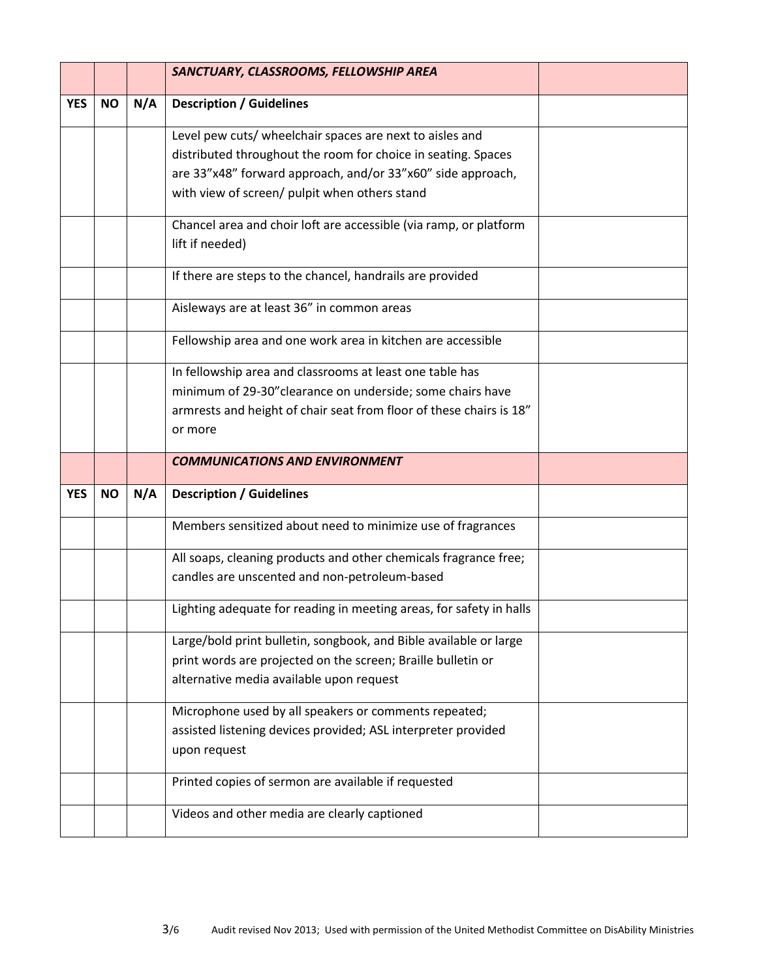|            |           |     | SANCTUARY, CLASSROOMS, FELLOWSHIP AREA                                                              |  |
|------------|-----------|-----|-----------------------------------------------------------------------------------------------------|--|
| <b>YES</b> | <b>NO</b> | N/A | <b>Description / Guidelines</b>                                                                     |  |
|            |           |     | Level pew cuts/ wheelchair spaces are next to aisles and                                            |  |
|            |           |     | distributed throughout the room for choice in seating. Spaces                                       |  |
|            |           |     | are 33"x48" forward approach, and/or 33"x60" side approach,                                         |  |
|            |           |     | with view of screen/ pulpit when others stand                                                       |  |
|            |           |     | Chancel area and choir loft are accessible (via ramp, or platform<br>lift if needed)                |  |
|            |           |     |                                                                                                     |  |
|            |           |     | If there are steps to the chancel, handrails are provided                                           |  |
|            |           |     | Aisleways are at least 36" in common areas                                                          |  |
|            |           |     | Fellowship area and one work area in kitchen are accessible                                         |  |
|            |           |     | In fellowship area and classrooms at least one table has                                            |  |
|            |           |     | minimum of 29-30" clearance on underside; some chairs have                                          |  |
|            |           |     | armrests and height of chair seat from floor of these chairs is 18"                                 |  |
|            |           |     | or more                                                                                             |  |
|            |           |     | <b>COMMUNICATIONS AND ENVIRONMENT</b>                                                               |  |
|            |           |     |                                                                                                     |  |
| <b>YES</b> | <b>NO</b> | N/A | <b>Description / Guidelines</b>                                                                     |  |
|            |           |     | Members sensitized about need to minimize use of fragrances                                         |  |
|            |           |     | All soaps, cleaning products and other chemicals fragrance free;                                    |  |
|            |           |     | candles are unscented and non-petroleum-based                                                       |  |
|            |           |     | Lighting adequate for reading in meeting areas, for safety in halls                                 |  |
|            |           |     | Large/bold print bulletin, songbook, and Bible available or large                                   |  |
|            |           |     | print words are projected on the screen; Braille bulletin or                                        |  |
|            |           |     | alternative media available upon request                                                            |  |
|            |           |     | Microphone used by all speakers or comments repeated;                                               |  |
|            |           |     | assisted listening devices provided; ASL interpreter provided<br>upon request                       |  |
|            |           |     |                                                                                                     |  |
|            |           |     | Printed copies of sermon are available if requested<br>Videos and other media are clearly captioned |  |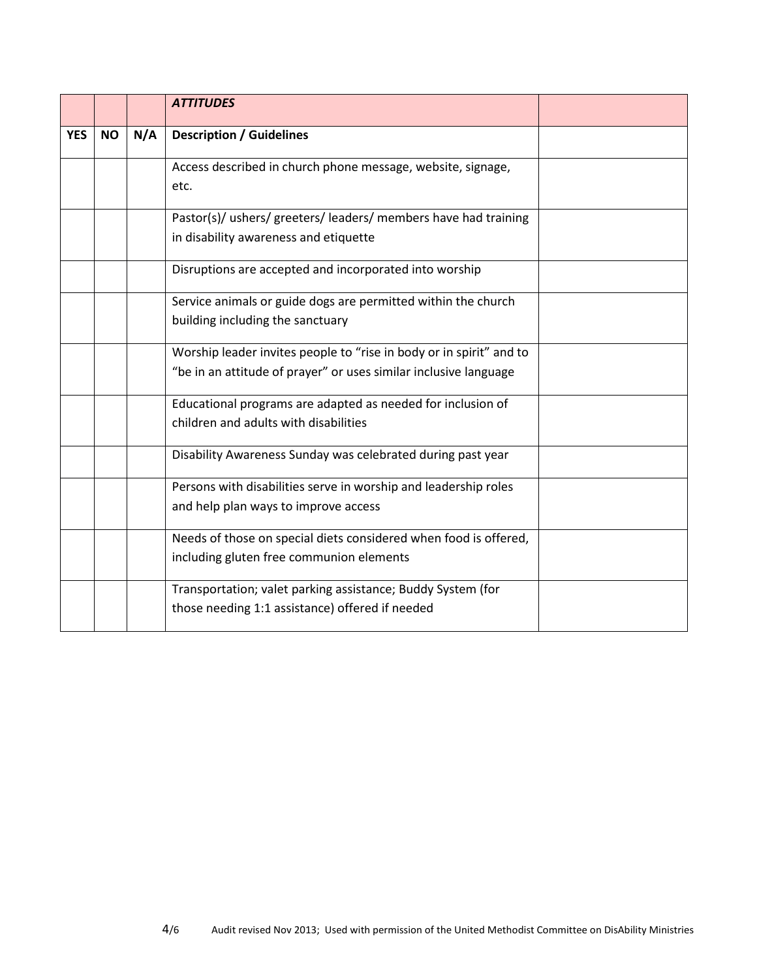|            |           |     | <b>ATTITUDES</b>                                                                                                                        |  |
|------------|-----------|-----|-----------------------------------------------------------------------------------------------------------------------------------------|--|
| <b>YES</b> | <b>NO</b> | N/A | <b>Description / Guidelines</b>                                                                                                         |  |
|            |           |     | Access described in church phone message, website, signage,<br>etc.                                                                     |  |
|            |           |     | Pastor(s)/ ushers/ greeters/ leaders/ members have had training<br>in disability awareness and etiquette                                |  |
|            |           |     | Disruptions are accepted and incorporated into worship                                                                                  |  |
|            |           |     | Service animals or guide dogs are permitted within the church<br>building including the sanctuary                                       |  |
|            |           |     | Worship leader invites people to "rise in body or in spirit" and to<br>"be in an attitude of prayer" or uses similar inclusive language |  |
|            |           |     | Educational programs are adapted as needed for inclusion of<br>children and adults with disabilities                                    |  |
|            |           |     | Disability Awareness Sunday was celebrated during past year                                                                             |  |
|            |           |     | Persons with disabilities serve in worship and leadership roles<br>and help plan ways to improve access                                 |  |
|            |           |     | Needs of those on special diets considered when food is offered,<br>including gluten free communion elements                            |  |
|            |           |     | Transportation; valet parking assistance; Buddy System (for<br>those needing 1:1 assistance) offered if needed                          |  |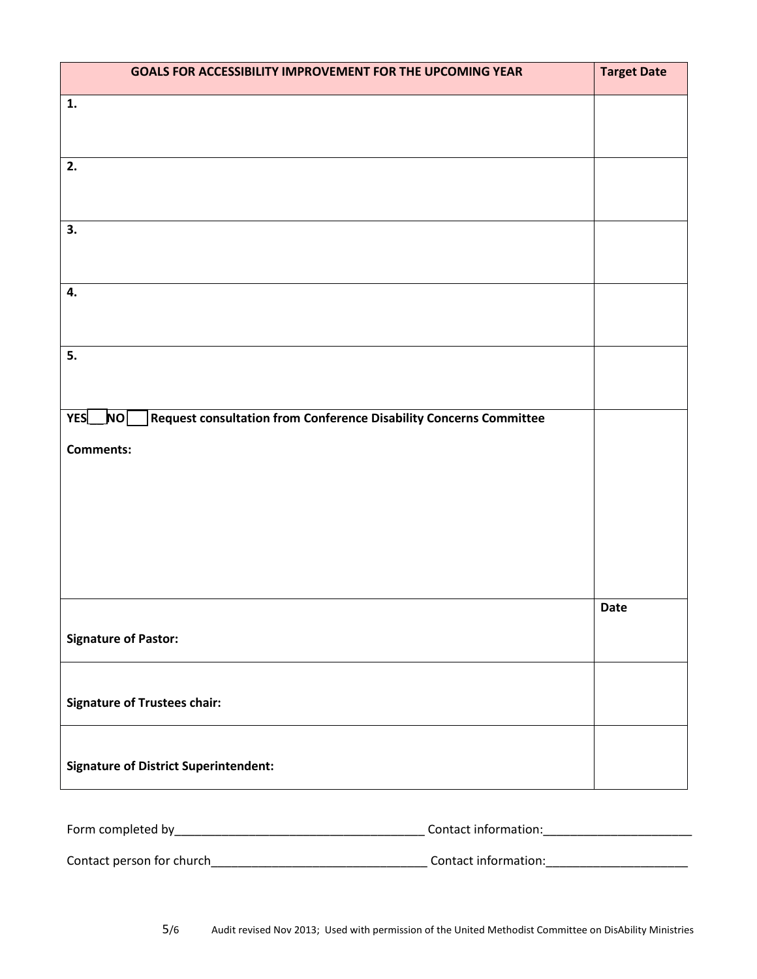| GOALS FOR ACCESSIBILITY IMPROVEMENT FOR THE UPCOMING YEAR                         | <b>Target Date</b> |
|-----------------------------------------------------------------------------------|--------------------|
| 1.                                                                                |                    |
|                                                                                   |                    |
| 2.                                                                                |                    |
|                                                                                   |                    |
| 3.                                                                                |                    |
|                                                                                   |                    |
| 4.                                                                                |                    |
|                                                                                   |                    |
| 5.                                                                                |                    |
|                                                                                   |                    |
| Request consultation from Conference Disability Concerns Committee<br>_ho∑<br>YES |                    |
| <b>Comments:</b>                                                                  |                    |
|                                                                                   |                    |
|                                                                                   |                    |
|                                                                                   |                    |
|                                                                                   |                    |
|                                                                                   | <b>Date</b>        |
| <b>Signature of Pastor:</b>                                                       |                    |
|                                                                                   |                    |
| <b>Signature of Trustees chair:</b>                                               |                    |
|                                                                                   |                    |
| <b>Signature of District Superintendent:</b>                                      |                    |
|                                                                                   |                    |

| Form completed by         | Contact information: |  |
|---------------------------|----------------------|--|
|                           |                      |  |
| Contact person for church | Contact information: |  |